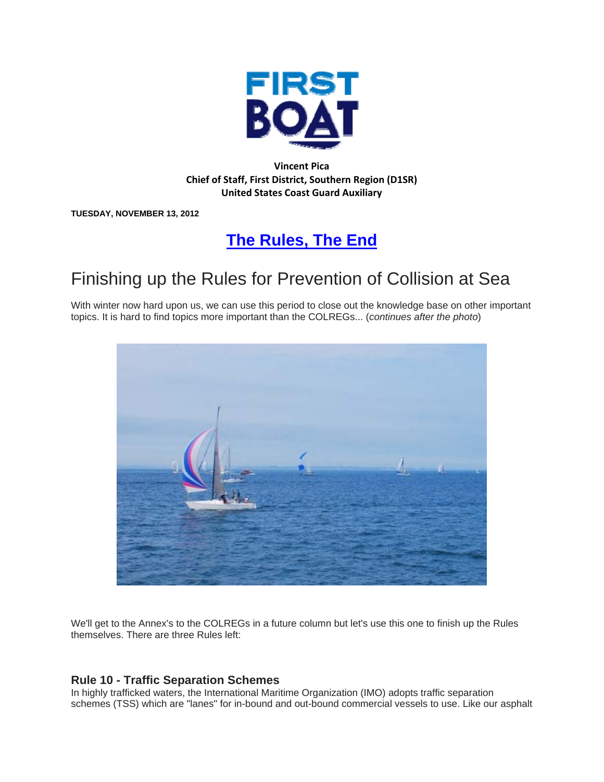

### **Vincent Pica Chief of Staff, First District, Southern Region (D1SR) United States Coast Guard Auxiliary**

**TUESDAY, NOVEMBER 13, 2012** 

# **The Rules, The End**

# Finishing up the Rules for Prevention of Collision at Sea

With winter now hard upon us, we can use this period to close out the knowledge base on other important topics. It is hard to find topics more important than the COLREGs... (*continues after the photo*)



We'll get to the Annex's to the COLREGs in a future column but let's use this one to finish up the Rules themselves. There are three Rules left:

### **Rule 10 - Traffic Separation Schemes**

In highly trafficked waters, the International Maritime Organization (IMO) adopts traffic separation schemes (TSS) which are "lanes" for in-bound and out-bound commercial vessels to use. Like our asphalt